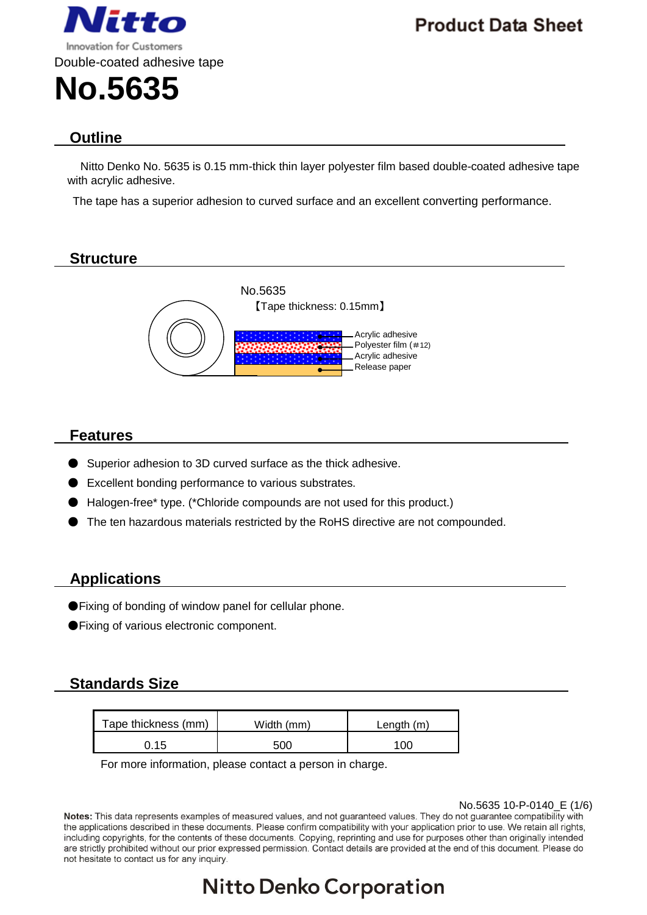

**Product Data Sheet** 

# **Outline**

Nitto Denko No. 5635 is 0.15 mm-thick thin layer polyester film based double-coated adhesive tape with acrylic adhesive.

The tape has a superior adhesion to curved surface and an excellent converting performance.

## **Structure**



## **Features**

- Superior adhesion to 3D curved surface as the thick adhesive.
- Excellent bonding performance to various substrates.
- Halogen-free\* type. (\*Chloride compounds are not used for this product.)
- The ten hazardous materials restricted by the RoHS directive are not compounded.

## **Applications**

- ●Fixing of bonding of window panel for cellular phone.
- ●Fixing of various electronic component.

## **Standards Size**

| Tape thickness (mm) | Width (mm) | Length $(m)$ |
|---------------------|------------|--------------|
| 15، ر               | 500        |              |

For more information, please contact a person in charge.

No.5635 10-P-0140\_E (1/6)<br>Notes: This data represents examples of measured values, and not guaranteed values. They do not guarantee compatibility with the applications described in these documents. Please confirm compatibility with your application prior to use. We retain all rights, including copyrights, for the contents of these documents. Copying, reprinting and use for purposes other than originally intended are strictly prohibited without our prior expressed permission. Contact details are provided at the end of this document. Please do not hesitate to contact us for any inquiry.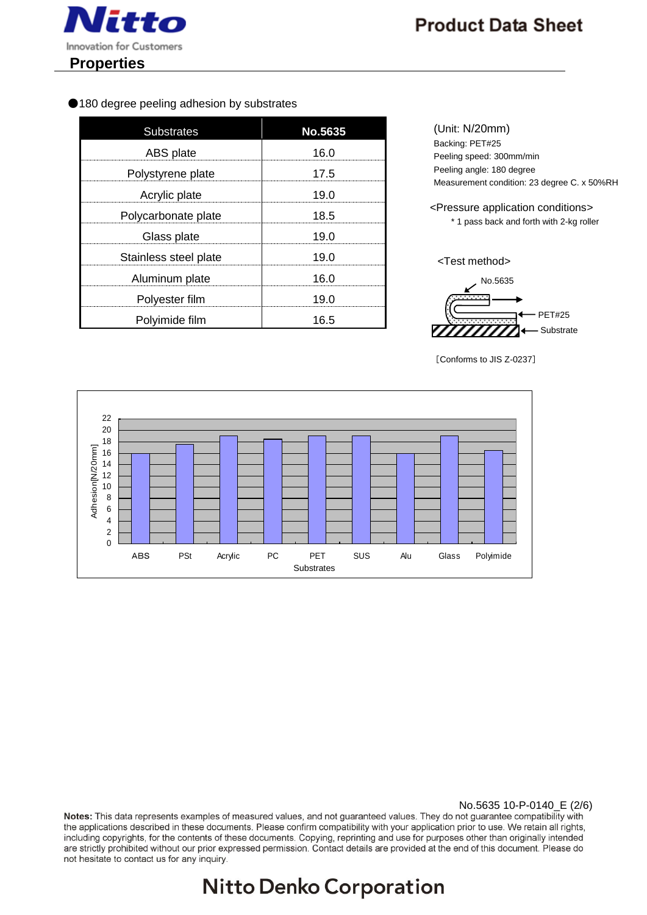

●180 degree peeling adhesion by substrates

| <b>Substrates</b>     | No.5635 |
|-----------------------|---------|
| ABS plate             | 16.0    |
| Polystyrene plate     | 17.5    |
| Acrylic plate         | 19.0    |
| Polycarbonate plate   | 18.5    |
| Glass plate           | 19.0    |
| Stainless steel plate | 19.0    |
| Aluminum plate        | 16.0    |
| Polyester film        | 19.0    |
| Polyimide film        | 16.5    |

(Unit: N/20mm) Backing: PET#25 Peeling speed: 300mm/min Peeling angle: 180 degree Measurement condition: 23 degree C. x 50%RH

<Pressure application conditions> \* 1 pass back and forth with 2-kg roller

<Test method>



[Conforms to JIS Z-0237]



No.5635 10-P-0140\_E (2/6)<br>Notes: This data represents examples of measured values, and not guaranteed values. They do not guarantee compatibility with the applications described in these documents. Please confirm compatibility with your application prior to use. We retain all rights, including copyrights, for the contents of these documents. Copying, reprinting and use for purposes other than originally intended are strictly prohibited without our prior expressed permission. Contact details are provided at the end of this document. Please do not hesitate to contact us for any inquiry.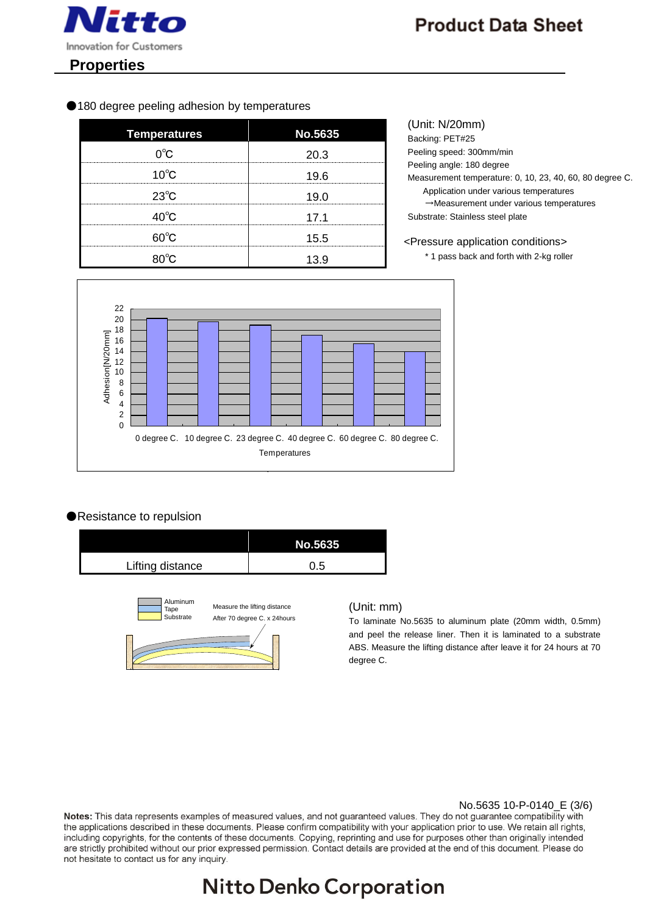

#### ●180 degree peeling adhesion by temperatures

| <b>Temperatures</b> | <b>No.5635</b> |
|---------------------|----------------|
| ∩°∩                 | 20 3           |
| $10^{\circ}$ C      | 19.6           |
| $23^{\circ}$ C      | 19.0           |
| $40^{\circ}$ C      | 17.1           |
| <u>െറ</u>           | 15.5           |
|                     | 13 ዓ           |

(Unit: N/20mm) Backing: PET#25 Peeling speed: 300mm/min Peeling angle: 180 degree Measurement temperature: 0, 10, 23, 40, 60, 80 degree C. Application under various temperatures →Measurement under various temperatures Substrate: Stainless steel plate

<Pressure application conditions>

\* 1 pass back and forth with 2-kg roller



### ●Resistance to repulsion



#### (Unit: mm)

To laminate No.5635 to aluminum plate (20mm width, 0.5mm) and peel the release liner. Then it is laminated to a substrate ABS. Measure the lifting distance after leave it for 24 hours at 70 degree C.

No.5635 10-P-0140\_E (3/6)<br>Notes: This data represents examples of measured values, and not guaranteed values. They do not guarantee compatibility with the applications described in these documents. Please confirm compatibility with your application prior to use. We retain all rights, including copyrights, for the contents of these documents. Copying, reprinting and use for purposes other than originally intended are strictly prohibited without our prior expressed permission. Contact details are provided at the end of this document. Please do not hesitate to contact us for any inquiry.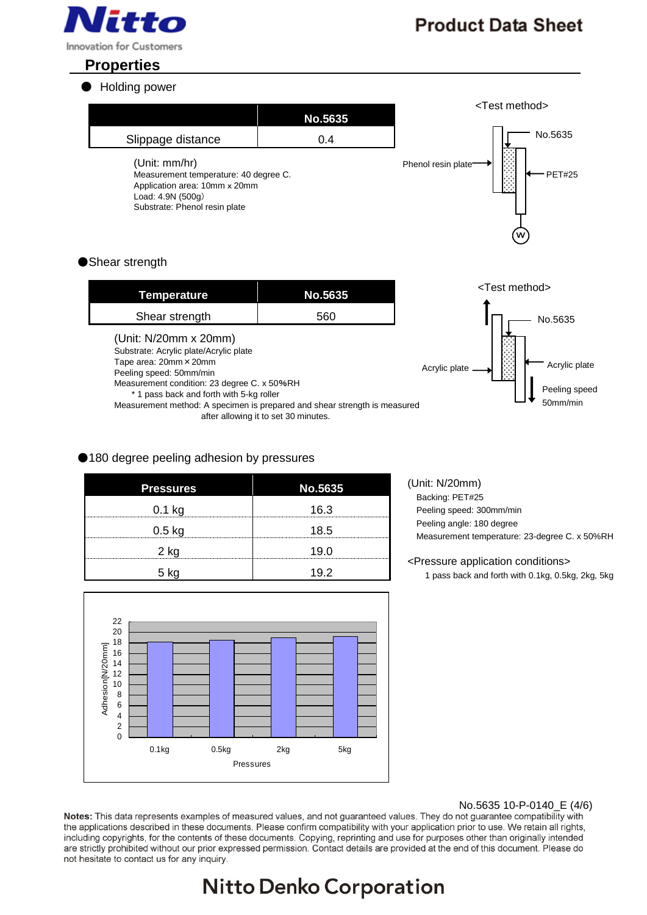

# **Properties**

### ● Holding power

|                                                                                                                                               | No.5635 | <test method=""></test>                  |
|-----------------------------------------------------------------------------------------------------------------------------------------------|---------|------------------------------------------|
| Slippage distance                                                                                                                             | 0.4     | No.5635                                  |
| (Unit: mm/hr)<br>Measurement temperature: 40 degree C.<br>Application area: 10mm x 20mm<br>Load: 4.9N (500g)<br>Substrate: Phenol resin plate |         | Phenol resin plate<br><b>PET#25</b><br>w |
| $\mathbf{a}$ $\mathbf{a}$                                                                                                                     |         |                                          |

### ● Shear strength

| <b>Temperature</b>                                                                                                                                                                                                                                                                           | <b>No.5635</b>                       | <test method=""></test>                                             |
|----------------------------------------------------------------------------------------------------------------------------------------------------------------------------------------------------------------------------------------------------------------------------------------------|--------------------------------------|---------------------------------------------------------------------|
| Shear strength                                                                                                                                                                                                                                                                               | 560                                  | No.5635                                                             |
| (Unit: N/20mm x 20mm)<br>Substrate: Acrylic plate/Acrylic plate<br>Tape area: 20mm × 20mm<br>Peeling speed: 50mm/min<br>Measurement condition: 23 degree C. x 50%RH<br>* 1 pass back and forth with 5-kg roller<br>Measurement method: A specimen is prepared and shear strength is measured | after allowing it to set 30 minutes. | Acrylic plate<br>Acrylic plate<br>×<br>Peeling speed<br>$50$ mm/min |

### ●180 degree peeling adhesion by pressures

| <b>Pressures</b> | No.5635 |
|------------------|---------|
| $0.1$ kg         | 16.3    |
| $0.5$ kg         | 18.5    |
| 2 kg             | 19 በ    |
|                  | 19.2    |

#### 22 20 18 Adhesion[N/20mm] Adhesion[N/20mm]16 14 12  $10$ 8 6 4 2  $\Omega$ 0.1kg 0.5kg 2kg 5kg Pressures

(Unit: N/20mm) Backing: PET#25 Peeling speed: 300mm/min Peeling angle: 180 degree

Measurement temperature: 23-degree C. x 50%RH

#### <Pressure application conditions>

1 pass back and forth with 0.1kg, 0.5kg, 2kg, 5kg

No.5635 10-P-0140\_E (4/6)<br>Notes: This data represents examples of measured values, and not guaranteed values. They do not guarantee compatibility with the applications described in these documents. Please confirm compatibility with your application prior to use. We retain all rights, including copyrights, for the contents of these documents. Copying, reprinting and use for purposes other than originally intended are strictly prohibited without our prior expressed permission. Contact details are provided at the end of this document. Please do not hesitate to contact us for any inquiry.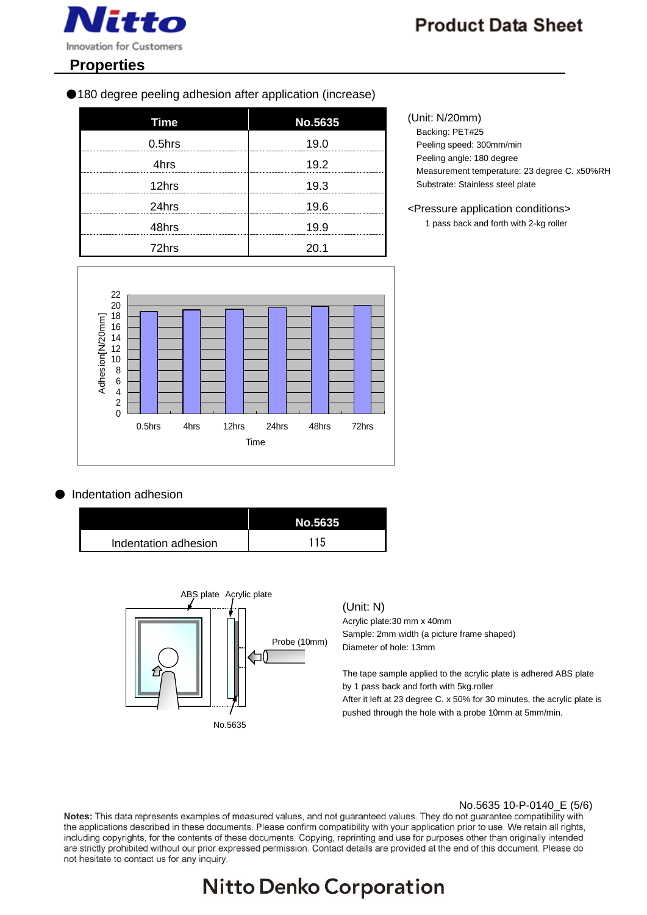

# **Properties**

●180 degree peeling adhesion after application (increase)

| <b>Time</b> | <b>No.5635</b> |
|-------------|----------------|
| $0.5$ hrs   | 19.0           |
| 4hrs        | 19.2           |
| 12hrs       | 19.3           |
| 24hrs       | 19.6           |
| 48hrs       | 19.9           |
| 72hrs       |                |



## **Indentation adhesion**

|                      | No.5635 |
|----------------------|---------|
| Indentation adhesion | 115     |



#### (Unit: N)

Acrylic plate:30 mm x 40mm Sample: 2mm width (a picture frame shaped) Diameter of hole: 13mm

The tape sample applied to the acrylic plate is adhered ABS plate by 1 pass back and forth with 5kg.roller After it left at 23 degree C. x 50% for 30 minutes, the acrylic plate is pushed through the hole with a probe 10mm at 5mm/min.

No.5635 10-P-0140\_E (5/6)<br>Notes: This data represents examples of measured values, and not guaranteed values. They do not guarantee compatibility with the applications described in these documents. Please confirm compatibility with your application prior to use. We retain all rights, including copyrights, for the contents of these documents. Copying, reprinting and use for purposes other than originally intended are strictly prohibited without our prior expressed permission. Contact details are provided at the end of this document. Please do not hesitate to contact us for any inquiry.

# **Nitto Denko Corporation**

#### (Unit: N/20mm)

Backing: PET#25 Peeling speed: 300mm/min Peeling angle: 180 degree Measurement temperature: 23 degree C. x50%RH Substrate: Stainless steel plate

<Pressure application conditions> 1 pass back and forth with 2-kg roller